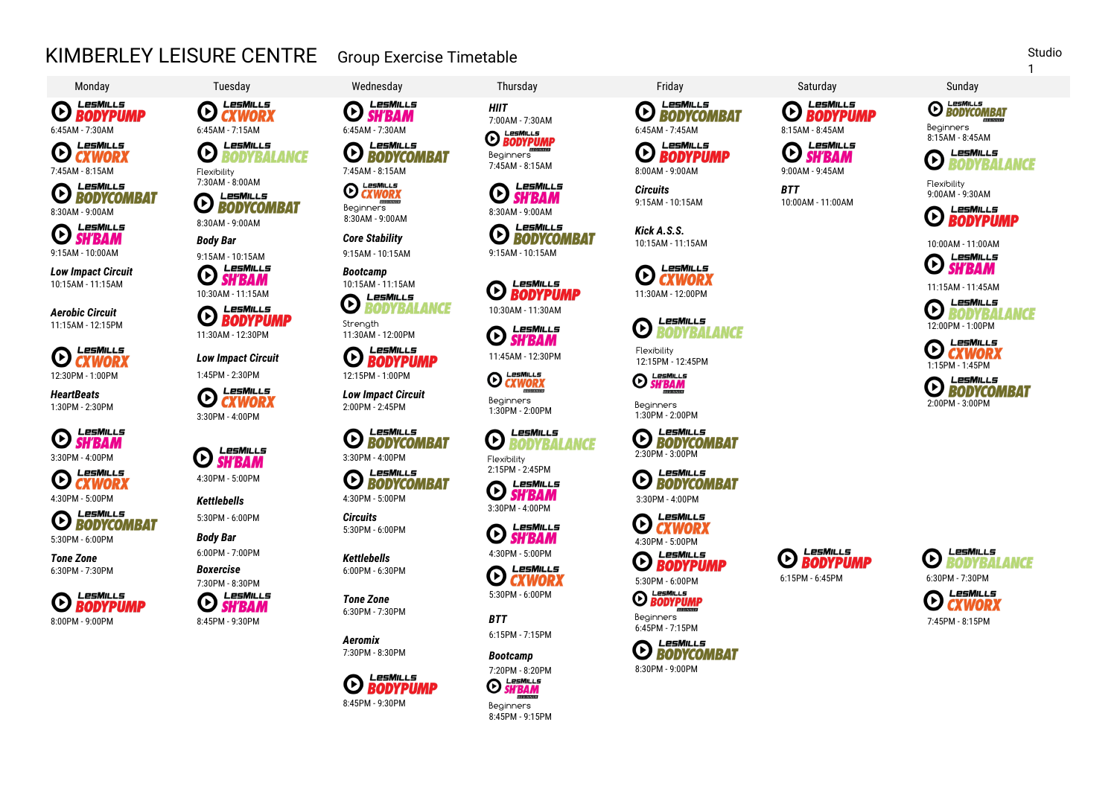## KIMBERLEY LEISURE CENTRE Group Exercise Timetable



LesMills

 $\bm{\mathsf{G}}$ **CXWORX** 7:45AM - 8:15AM Flexibility

LesMills  $\bm{\mathsf{G}}$ **BODYCOMBAT** 8:30AM - 9:00AM

LesMiLLs  $\boldsymbol{\Theta}$ **SH'BAM** 9:15AM - 10:00AM

*Low Impact Circuit* 10:15AM - 11:15AM

*Aerobic Circuit* 11:15AM - 12:15PM

LesMills  $\boldsymbol{\Theta}$ **CXWORX** 12:30PM - 1:00PM

*HeartBeats* 1:30PM - 2:30PM

LesMills **ED** SH'BAM 3:30PM - 4:00PM

LesMills  $\odot$   $\ddot{\text{c}}$   $\text{c}}$   $\ddot{\text{c}}$   $\text{c}}$   $\dddot{\text{c}}$   $\dddot{\text{c}}$   $\dddot{\text{c}}$   $\dddot{\text{c}}$   $\dddot{\text{c}}$   $\dddot{\text{c}}$   $\dddot{\text{c}}$   $\dddot{\text{c}}$   $\dddot{\text{c}}$   $\dddot{\text{c}}$   $\dddot{\text{c}}$   $\dddot{\text{c}}$   $\dddot{\text{c}}$   $\dddot{\text{c}}$   $\dddot{\text{c}}$   $\dddot{\text{c}}$ 

4:30PM - 5:00PM *Kettlebells* **EXPIRED BODYCOMBAT** 

5:30PM - 6:00PM **Body Bar Body Bar** 

*Tone Zone* 6:30PM - 7:30PM *Boxercise*



 $\boldsymbol{\Theta}$ **CXWORX** 6:45AM - 7:30AM 6:45AM - 7:15AM 6:45AM - 7:30AM LesMills O **BODYBALANCE** 

7:30AM - 8:00AM

闲

 $I = SMII I =$ **EXPORTED** 8:30AM - 9:00AM

LesMills

*Body Bar* 9:15AM - 10:15AM

**SH'BAM** 10:30AM - 11:15AM LesMills

 $\boldsymbol{\Theta}$ **BODYPUMP** 11:30AM - 12:30PM

*Low Impact Circuit* 1:45PM - 2:30PM 12:15PM - 1:00PM

LesMills  $\boldsymbol{\Theta}$ **CXWORX** 3:30PM - 4:00PM

4:30PM - 5:00PM

©

5:30PM - 6:00PM

6:00PM - 7:00PM

7:30PM - 8:30PM

*O SH'BAM* 

LesMills

LesMILLs **SH'BAM** 

4:30PM - 5:00PM

*Circuits* 5:30PM - 6:00PM

*Kettlebells*

*Tone Zone*

*Aeromix* 7:30PM - 8:30PM



LesMills **SH'BAM** LesMills

**HIIT**<br>7:00AM - 7:30AM 7:00AM - 7:00AM<br>**O BODYPUMP** 

Beginners<br>7:45AM - 8:15AM

 $\bm{\mathsf{\Theta}}$ 

 $\odot$ 

 $\bm{\mathsf{\Theta}}$ 

O

LesMills

*BODYCOMBAT* 

**SH'BAM** 

10:30AM - 11:30AM

LesMiLLs **EXWORX** 

LesMills

LesMills

LesMills

LesMills

LesMills

LesMills

**CXWORX** 

**SH'BAM** 

*RODYRALANCE* 

**SH'BAM** 

**BODYPUMP** 

Beginners

Flexibility 2:15PM - 2:45PM

 $\boldsymbol{\Theta}$ 

O

3:30PM - 4:00PM

4:30PM - 5:00PM

5:30PM - 6:00PM

6:15PM - 7:15PM

*Bootcamp*

*BTT*

Ø

**BODYCOMBAT** 7:45AM - 8:15AM LesMills

**EXWORX** Beginners 8:30AM - 9:00AM 8:30AM - 9:00AM

 $\odot$ 

Œ

*Core Stability* 9:15AM - 10:15AM 9:15AM - 10:15AM



Ø **RODYBAL ANCE** Strength



*Low Impact Circuit*

2:00PM - 2:45PM

LesMills  $\boldsymbol{\Theta}$ **BODYCOMBAT** 3:30PM - 4:00PM

LesMills **ED LESMILLS** 

6:00PM - 6:30PM

6:30PM - 7:30PM



Beginners 8:45PM - 9:15PM

LesMills  $\mathbf \Theta$ **BODYCOMBAT** 

LesMills  $\Theta$  **BODYPUMP** 

*Circuits* 9:15AM - 10:15AM

*Kick A.S.S.* 10:15AM - 11:15AM

LesMills  $\odot$ **CXWORX** 11:30AM - 12:00PM

**LesMiLLS**  $\bm{\Theta}$ **RODYRAI ANCE** 

11:45AM - 12:30PM Flexibility<br>11:45AM - 12:30PM 12:15PM - 12:45PM

Peginners<br>1:30PM - 2:00PM Beginners 1:30PM - 2:00PM

> **EXPIRED BODYCOMBAT** 2:30PM - 3:00PM

> **ED RODYCOMBAT**

LesMills

LesMills

5:30PM - 6:00PM

LesMills **O** BODYPUMP

Beginners 6:45PM - 7:15PM



LesMills Œ **SH'BAN** 7:45AM - 8:15AM 8:00AM - 9:00AM 9:00AM - 9:45AM

> *BTT* 10:00AM - 11:00AM





**BODYBALANCE** 

**O BODYCOMBAT** 

Flexibility 9:00AM - 9:30AM



10:00AM - 11:00AM



11:15AM - 11:45AM





LesMills Ø **BODYCOMBAT** 2:00PM - 3:00PM

LesMills

3:30PM - 4:00PM

*O BODYPUMP* 

LesMills  $\bm{\Theta}$ 

**BODYPUMP** 6:15PM - 6:45PM





LesMills







1



**E** SH'BAM

LesMills